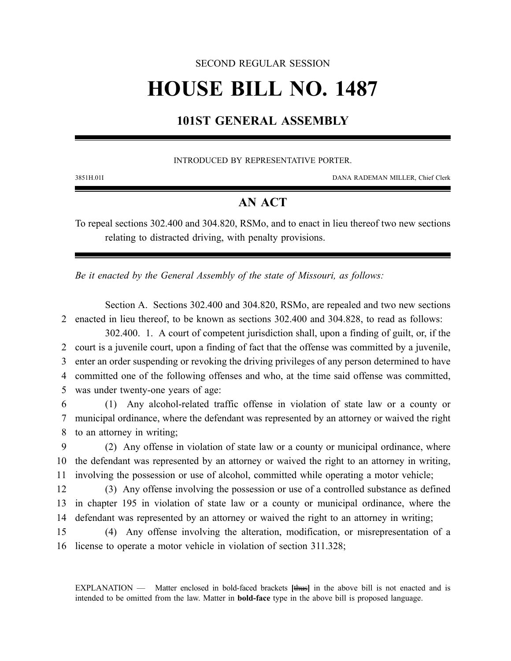## SECOND REGULAR SESSION

# **HOUSE BILL NO. 1487**

## **101ST GENERAL ASSEMBLY**

#### INTRODUCED BY REPRESENTATIVE PORTER.

3851H.01I DANA RADEMAN MILLER, Chief Clerk

## **AN ACT**

To repeal sections 302.400 and 304.820, RSMo, and to enact in lieu thereof two new sections relating to distracted driving, with penalty provisions.

*Be it enacted by the General Assembly of the state of Missouri, as follows:*

Section A. Sections 302.400 and 304.820, RSMo, are repealed and two new sections 2 enacted in lieu thereof, to be known as sections 302.400 and 304.828, to read as follows:

302.400. 1. A court of competent jurisdiction shall, upon a finding of guilt, or, if the court is a juvenile court, upon a finding of fact that the offense was committed by a juvenile, enter an order suspending or revoking the driving privileges of any person determined to have committed one of the following offenses and who, at the time said offense was committed, was under twenty-one years of age:

6 (1) Any alcohol-related traffic offense in violation of state law or a county or 7 municipal ordinance, where the defendant was represented by an attorney or waived the right 8 to an attorney in writing;

9 (2) Any offense in violation of state law or a county or municipal ordinance, where 10 the defendant was represented by an attorney or waived the right to an attorney in writing, 11 involving the possession or use of alcohol, committed while operating a motor vehicle;

12 (3) Any offense involving the possession or use of a controlled substance as defined 13 in chapter 195 in violation of state law or a county or municipal ordinance, where the 14 defendant was represented by an attorney or waived the right to an attorney in writing;

15 (4) Any offense involving the alteration, modification, or misrepresentation of a 16 license to operate a motor vehicle in violation of section 311.328;

EXPLANATION — Matter enclosed in bold-faced brackets **[**thus**]** in the above bill is not enacted and is intended to be omitted from the law. Matter in **bold-face** type in the above bill is proposed language.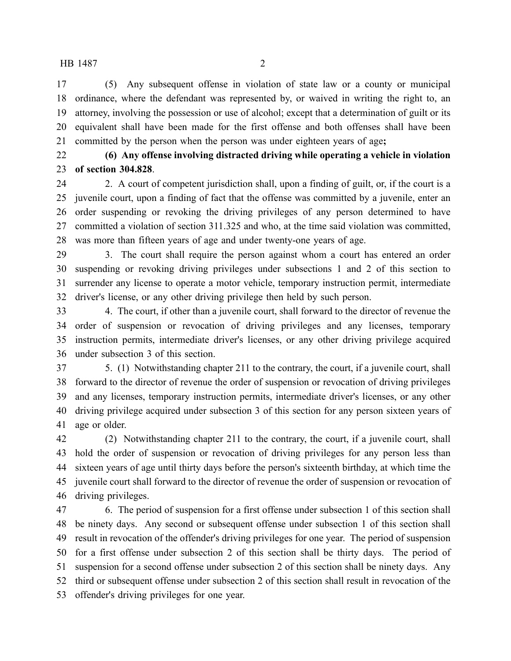(5) Any subsequent offense in violation of state law or a county or municipal ordinance, where the defendant was represented by, or waived in writing the right to, an attorney, involving the possession or use of alcohol; except that a determination of guilt or its equivalent shall have been made for the first offense and both offenses shall have been committed by the person when the person was under eighteen years of age**;**

 **(6) Any offense involving distracted driving while operating a vehicle in violation of section 304.828**.

 2. A court of competent jurisdiction shall, upon a finding of guilt, or, if the court is a juvenile court, upon a finding of fact that the offense was committed by a juvenile, enter an order suspending or revoking the driving privileges of any person determined to have committed a violation of section 311.325 and who, at the time said violation was committed, was more than fifteen years of age and under twenty-one years of age.

 3. The court shall require the person against whom a court has entered an order suspending or revoking driving privileges under subsections 1 and 2 of this section to surrender any license to operate a motor vehicle, temporary instruction permit, intermediate driver's license, or any other driving privilege then held by such person.

 4. The court, if other than a juvenile court, shall forward to the director of revenue the order of suspension or revocation of driving privileges and any licenses, temporary instruction permits, intermediate driver's licenses, or any other driving privilege acquired under subsection 3 of this section.

 5. (1) Notwithstanding chapter 211 to the contrary, the court, if a juvenile court, shall forward to the director of revenue the order of suspension or revocation of driving privileges and any licenses, temporary instruction permits, intermediate driver's licenses, or any other driving privilege acquired under subsection 3 of this section for any person sixteen years of age or older.

 (2) Notwithstanding chapter 211 to the contrary, the court, if a juvenile court, shall hold the order of suspension or revocation of driving privileges for any person less than sixteen years of age until thirty days before the person's sixteenth birthday, at which time the juvenile court shall forward to the director of revenue the order of suspension or revocation of driving privileges.

 6. The period of suspension for a first offense under subsection 1 of this section shall be ninety days. Any second or subsequent offense under subsection 1 of this section shall result in revocation of the offender's driving privileges for one year. The period of suspension for a first offense under subsection 2 of this section shall be thirty days. The period of suspension for a second offense under subsection 2 of this section shall be ninety days. Any third or subsequent offense under subsection 2 of this section shall result in revocation of the offender's driving privileges for one year.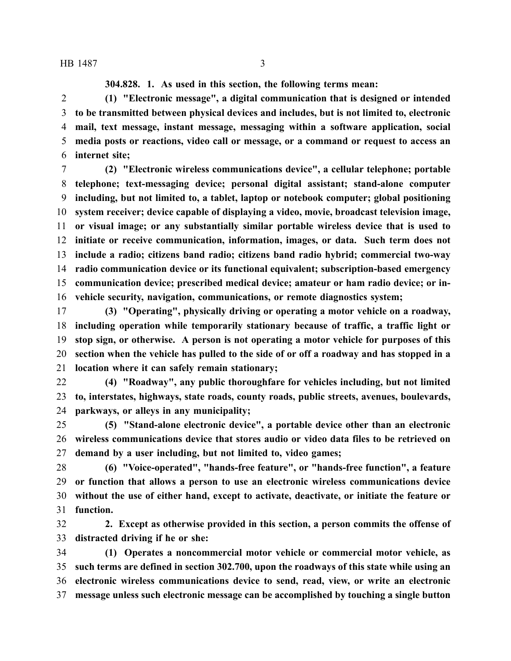**304.828. 1. As used in this section, the following terms mean:**

 **(1) "Electronic message", a digital communication that is designed or intended to be transmitted between physical devices and includes, but is not limited to, electronic mail, text message, instant message, messaging within a software application, social media posts or reactions, video call or message, or a command or request to access an internet site;**

 **(2) "Electronic wireless communications device", a cellular telephone; portable telephone; text-messaging device; personal digital assistant; stand-alone computer including, but not limited to, a tablet, laptop or notebook computer; global positioning system receiver; device capable of displaying a video, movie, broadcast television image, or visual image; or any substantially similar portable wireless device that is used to initiate or receive communication, information, images, or data. Such term does not include a radio; citizens band radio; citizens band radio hybrid; commercial two-way radio communication device or its functional equivalent; subscription-based emergency communication device; prescribed medical device; amateur or ham radio device; or in-vehicle security, navigation, communications, or remote diagnostics system;**

 **(3) "Operating", physically driving or operating a motor vehicle on a roadway, including operation while temporarily stationary because of traffic, a traffic light or stop sign, or otherwise. A person is not operating a motor vehicle for purposes of this section when the vehicle has pulled to the side of or off a roadway and has stopped in a location where it can safely remain stationary;**

 **(4) "Roadway", any public thoroughfare for vehicles including, but not limited to, interstates, highways, state roads, county roads, public streets, avenues, boulevards, parkways, or alleys in any municipality;**

 **(5) "Stand-alone electronic device", a portable device other than an electronic wireless communications device that stores audio or video data files to be retrieved on demand by a user including, but not limited to, video games;**

 **(6) "Voice-operated", "hands-free feature", or "hands-free function", a feature or function that allows a person to use an electronic wireless communications device without the use of either hand, except to activate, deactivate, or initiate the feature or function.**

 **2. Except as otherwise provided in this section, a person commits the offense of distracted driving if he or she:**

 **(1) Operates a noncommercial motor vehicle or commercial motor vehicle, as such terms are defined in section 302.700, upon the roadways of this state while using an electronic wireless communications device to send, read, view, or write an electronic message unless such electronic message can be accomplished by touching a single button**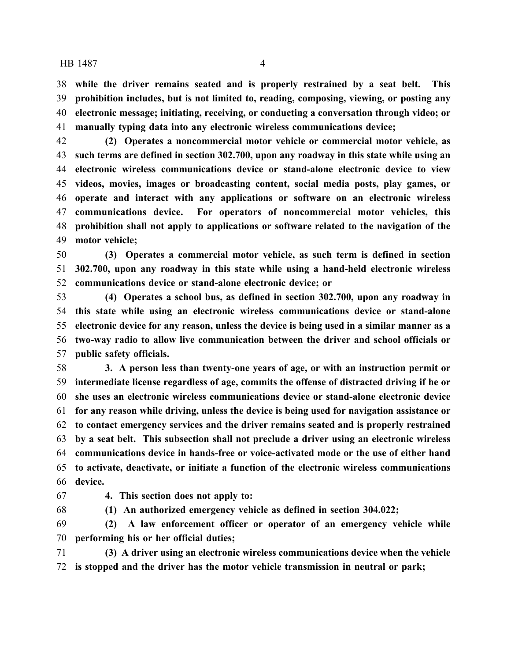**while the driver remains seated and is properly restrained by a seat belt. This prohibition includes, but is not limited to, reading, composing, viewing, or posting any electronic message; initiating, receiving, or conducting a conversation through video; or manually typing data into any electronic wireless communications device;**

 **(2) Operates a noncommercial motor vehicle or commercial motor vehicle, as such terms are defined in section 302.700, upon any roadway in this state while using an electronic wireless communications device or stand-alone electronic device to view videos, movies, images or broadcasting content, social media posts, play games, or operate and interact with any applications or software on an electronic wireless communications device. For operators of noncommercial motor vehicles, this prohibition shall not apply to applications or software related to the navigation of the motor vehicle;**

 **(3) Operates a commercial motor vehicle, as such term is defined in section 302.700, upon any roadway in this state while using a hand-held electronic wireless communications device or stand-alone electronic device; or**

 **(4) Operates a school bus, as defined in section 302.700, upon any roadway in this state while using an electronic wireless communications device or stand-alone electronic device for any reason, unless the device is being used in a similar manner as a two-way radio to allow live communication between the driver and school officials or public safety officials.**

 **3. A person less than twenty-one years of age, or with an instruction permit or intermediate license regardless of age, commits the offense of distracted driving if he or she uses an electronic wireless communications device or stand-alone electronic device for any reason while driving, unless the device is being used for navigation assistance or to contact emergency services and the driver remains seated and is properly restrained by a seat belt. This subsection shall not preclude a driver using an electronic wireless communications device in hands-free or voice-activated mode or the use of either hand to activate, deactivate, or initiate a function of the electronic wireless communications device.**

**4. This section does not apply to:**

**(1) An authorized emergency vehicle as defined in section 304.022;**

 **(2) A law enforcement officer or operator of an emergency vehicle while performing his or her official duties;**

 **(3) A driver using an electronic wireless communications device when the vehicle is stopped and the driver has the motor vehicle transmission in neutral or park;**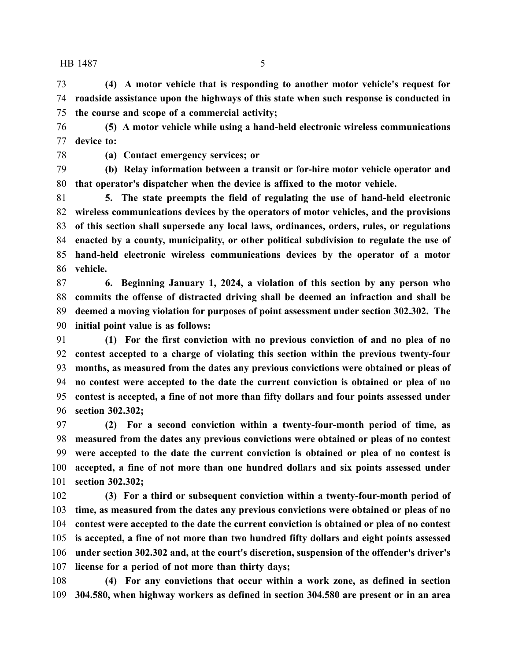**(4) A motor vehicle that is responding to another motor vehicle's request for roadside assistance upon the highways of this state when such response is conducted in the course and scope of a commercial activity;**

 **(5) A motor vehicle while using a hand-held electronic wireless communications device to:**

**(a) Contact emergency services; or**

 **(b) Relay information between a transit or for-hire motor vehicle operator and that operator's dispatcher when the device is affixed to the motor vehicle.**

 **5. The state preempts the field of regulating the use of hand-held electronic wireless communications devices by the operators of motor vehicles, and the provisions of this section shall supersede any local laws, ordinances, orders, rules, or regulations enacted by a county, municipality, or other political subdivision to regulate the use of hand-held electronic wireless communications devices by the operator of a motor vehicle.**

 **6. Beginning January 1, 2024, a violation of this section by any person who commits the offense of distracted driving shall be deemed an infraction and shall be deemed a moving violation for purposes of point assessment under section 302.302. The initial point value is as follows:**

 **(1) For the first conviction with no previous conviction of and no plea of no contest accepted to a charge of violating this section within the previous twenty-four months, as measured from the dates any previous convictions were obtained or pleas of no contest were accepted to the date the current conviction is obtained or plea of no contest is accepted, a fine of not more than fifty dollars and four points assessed under section 302.302;**

 **(2) For a second conviction within a twenty-four-month period of time, as measured from the dates any previous convictions were obtained or pleas of no contest were accepted to the date the current conviction is obtained or plea of no contest is accepted, a fine of not more than one hundred dollars and six points assessed under section 302.302;**

 **(3) For a third or subsequent conviction within a twenty-four-month period of time, as measured from the dates any previous convictions were obtained or pleas of no contest were accepted to the date the current conviction is obtained or plea of no contest is accepted, a fine of not more than two hundred fifty dollars and eight points assessed under section 302.302 and, at the court's discretion, suspension of the offender's driver's license for a period of not more than thirty days;**

 **(4) For any convictions that occur within a work zone, as defined in section 304.580, when highway workers as defined in section 304.580 are present or in an area**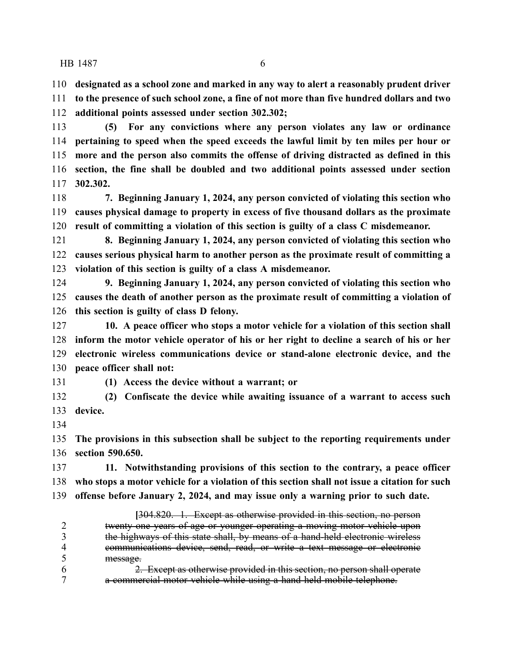**designated as a school zone and marked in any way to alert a reasonably prudent driver**

 **to the presence of such school zone, a fine of not more than five hundred dollars and two additional points assessed under section 302.302;**

 **(5) For any convictions where any person violates any law or ordinance pertaining to speed when the speed exceeds the lawful limit by ten miles per hour or more and the person also commits the offense of driving distracted as defined in this section, the fine shall be doubled and two additional points assessed under section 302.302.**

 **7. Beginning January 1, 2024, any person convicted of violating this section who causes physical damage to property in excess of five thousand dollars as the proximate result of committing a violation of this section is guilty of a class C misdemeanor.**

 **8. Beginning January 1, 2024, any person convicted of violating this section who causes serious physical harm to another person as the proximate result of committing a violation of this section is guilty of a class A misdemeanor.**

 **9. Beginning January 1, 2024, any person convicted of violating this section who causes the death of another person as the proximate result of committing a violation of this section is guilty of class D felony.**

 **10. A peace officer who stops a motor vehicle for a violation of this section shall inform the motor vehicle operator of his or her right to decline a search of his or her electronic wireless communications device or stand-alone electronic device, and the peace officer shall not:**

**(1) Access the device without a warrant; or**

 **(2) Confiscate the device while awaiting issuance of a warrant to access such device.**

 **The provisions in this subsection shall be subject to the reporting requirements under section 590.650.**

 **11. Notwithstanding provisions of this section to the contrary, a peace officer who stops a motor vehicle for a violation of this section shall not issue a citation for such offense before January 2, 2024, and may issue only a warning prior to such date.**

**[**304.820. 1. Except as otherwise provided in this section, no person twenty-one years of age or younger operating a moving motor vehicle upon 3 the highways of this state shall, by means of a hand-held electronic wireless<br>4 communications device, send, read, or write a text message or electronic communications device, send, read, or write a text message or electronic message.<br>6  $\frac{2}{3}$ 

2. Except as otherwise provided in this section, no person shall operate a commercial motor vehicle while using a hand-held mobile telephone.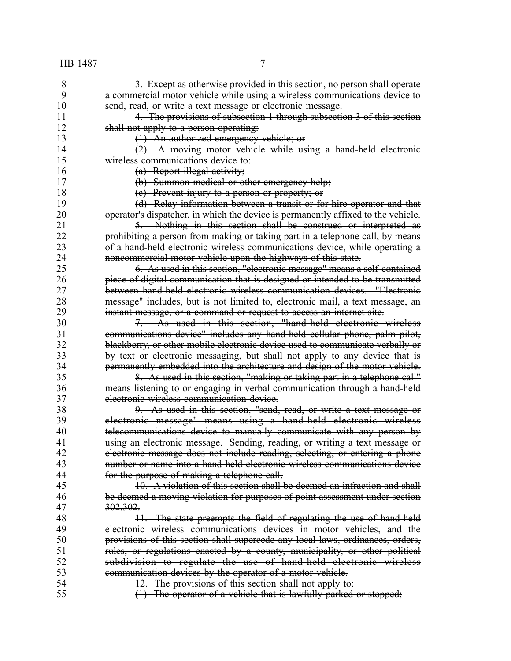3. Except as otherwise provided in this section, no person shall operate a commercial motor vehicle while using a wireless communications device to 10 send, read, or write a text message or electronic message. 11 4. The provisions of subsection 1 through subsection 3 of this section 12 shall not apply to a person operating:

(1) An authorized emergency vehicle; or

 (2) A moving motor vehicle while using a hand-held electronic wireless communications device to:

(a) Report illegal activity;

(b) Summon medical or other emergency help;

(c) Prevent injury to a person or property; or

 (d) Relay information between a transit or for-hire operator and that 20 operator's dispatcher, in which the device is permanently affixed to the vehicle.

 5. Nothing in this section shall be construed or interpreted as prohibiting a person from making or taking part in a telephone call, by means of a hand-held electronic wireless communications device, while operating a noncommercial motor vehicle upon the highways of this state.

 6. As used in this section, "electronic message" means a self-contained 26 **piece of digital communication that is designed or intended to be transmitted**<br>27 **between hand held electronic wireless communication devices. "Electronic** between hand-held electronic wireless communication devices. "Electronic 28 message" includes, but is not limited to, electronic mail, a text message, an<br>29 metant message, or a command or request to access an internet site. instant message, or a command or request to access an internet site.

 7. As used in this section, "hand-held electronic wireless communications device" includes any hand-held cellular phone, palm pilot, blackberry, or other mobile electronic device used to communicate verbally or by text or electronic messaging, but shall not apply to any device that is permanently embedded into the architecture and design of the motor vehicle.

 8. As used in this section, "making or taking part in a telephone call" means listening to or engaging in verbal communication through a hand-held electronic wireless communication device.

 9. As used in this section, "send, read, or write a text message or electronic message" means using a hand-held electronic wireless 40 telecommunications device to manually communicate with any person by **using an electronic message. Sending, reading, or writing a text message or** 42 electronic message does not include reading, selecting, or entering a phone<br>43 mumber or name into a hand-held electronic wireless communications device number or name into a hand-held electronic wireless communications device **for the purpose of making a telephone call.** 

 10. A violation of this section shall be deemed an infraction and shall be deemed a moving violation for purposes of point assessment under section 302.302.

48 11. The state preempts the field of regulating the use of hand-held electronic wireless communications devices in motor vehicles, and the provisions of this section shall supercede any local laws, ordinances, orders, rules, or regulations enacted by a county, municipality, or other political subdivision to regulate the use of hand-held electronic wireless communication devices by the operator of a motor vehicle.

12. The provisions of this section shall not apply to:

(1) The operator of a vehicle that is lawfully parked or stopped;